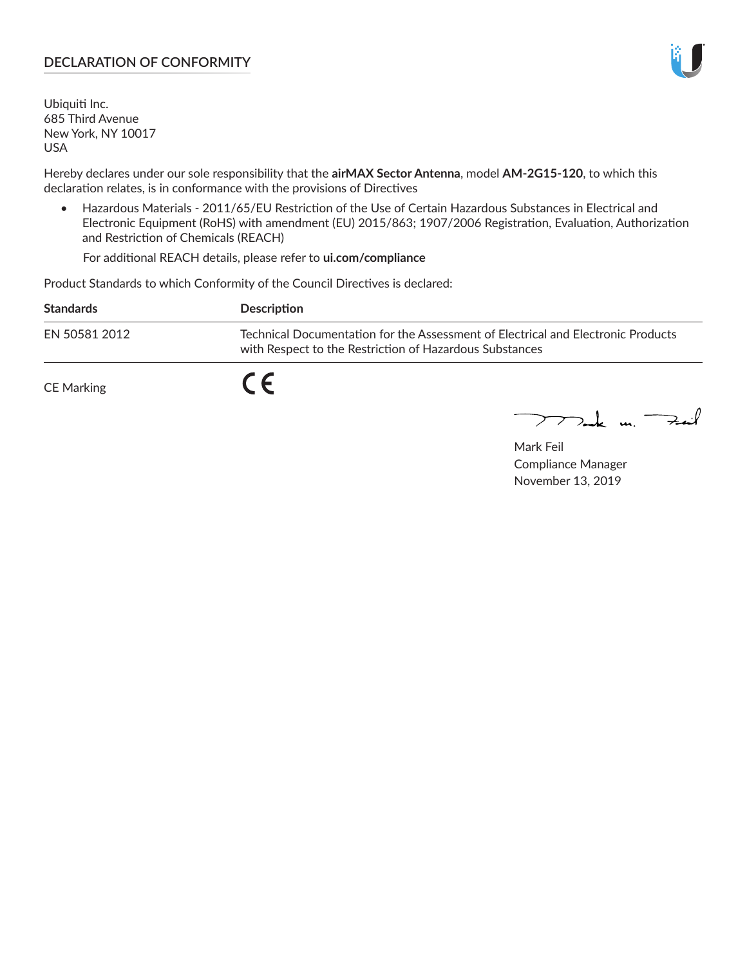## **DECLARATION OF CONFORMITY**

Ubiquiti Inc. 685 Third Avenue New York, NY 10017 USA

Hereby declares under our sole responsibility that the **airMAX Sector Antenna**, model **AM-2G15-120**, to which this declaration relates, is in conformance with the provisions of Directives

• Hazardous Materials - 2011/65/EU Restriction of the Use of Certain Hazardous Substances in Electrical and Electronic Equipment (RoHS) with amendment (EU) 2015/863; 1907/2006 Registration, Evaluation, Authorization and Restriction of Chemicals (REACH)

For additional REACH details, please refer to **ui.com/compliance**

Product Standards to which Conformity of the Council Directives is declared:

| <b>Standards</b> | <b>Description</b>                                                                                                                          |
|------------------|---------------------------------------------------------------------------------------------------------------------------------------------|
| EN 50581 2012    | Technical Documentation for the Assessment of Electrical and Electronic Products<br>with Respect to the Restriction of Hazardous Substances |
| CE Marking       |                                                                                                                                             |

 $\sum_{n=1}^{\infty}$  un  $\sum_{n=1}^{\infty}$ 

Mark Feil Compliance Manager November 13, 2019

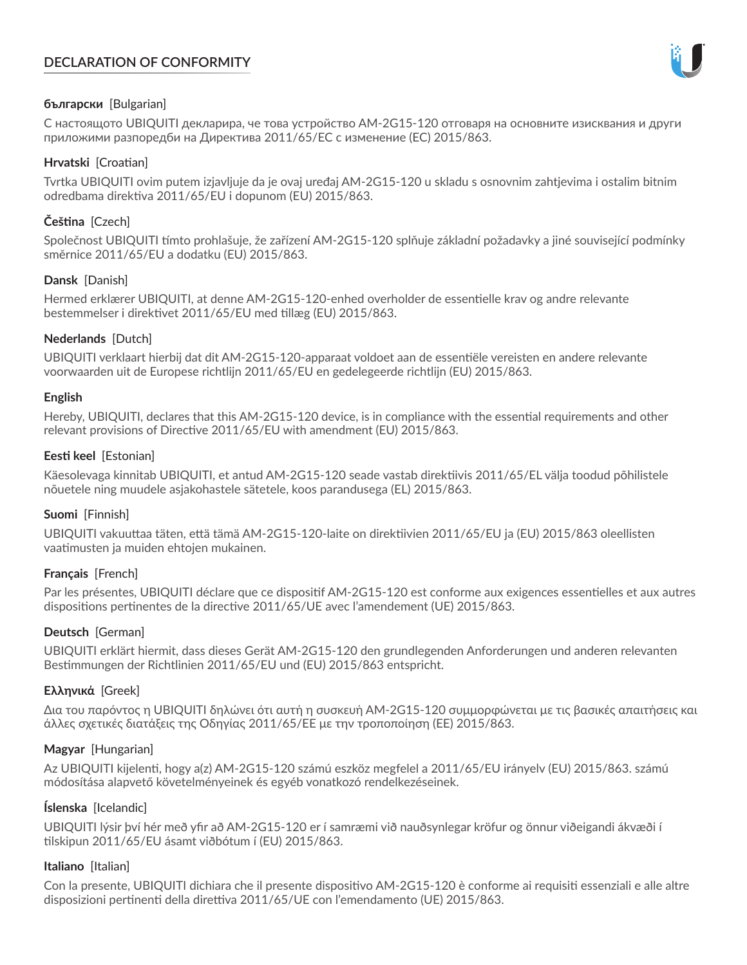# **DECLARATION OF CONFORMITY**



## **български** [Bulgarian]

С настоящото UBIQUITI декларира, че това устройство AM-2G15-120 отговаря на основните изисквания и други приложими разпоредби на Директива 2011/65/ЕС с изменение (ЕС) 2015/863.

## **Hrvatski** [Croatian]

Tvrtka UBIQUITI ovim putem izjavljuje da je ovaj uređaj AM-2G15-120 u skladu s osnovnim zahtjevima i ostalim bitnim odredbama direktiva 2011/65/EU i dopunom (EU) 2015/863.

# **Čeština** [Czech]

Společnost UBIQUITI tímto prohlašuje, že zařízení AM-2G15-120 splňuje základní požadavky a jiné související podmínky směrnice 2011/65/EU a dodatku (EU) 2015/863.

### **Dansk** [Danish]

Hermed erklærer UBIQUITI, at denne AM-2G15-120-enhed overholder de essentielle krav og andre relevante bestemmelser i direktivet 2011/65/EU med tillæg (EU) 2015/863.

### **Nederlands** [Dutch]

UBIQUITI verklaart hierbij dat dit AM-2G15-120-apparaat voldoet aan de essentiële vereisten en andere relevante voorwaarden uit de Europese richtlijn 2011/65/EU en gedelegeerde richtlijn (EU) 2015/863.

#### **English**

Hereby, UBIQUITI, declares that this AM-2G15-120 device, is in compliance with the essential requirements and other relevant provisions of Directive 2011/65/EU with amendment (EU) 2015/863.

### **Eesti keel** [Estonian]

Käesolevaga kinnitab UBIQUITI, et antud AM-2G15-120 seade vastab direktiivis 2011/65/EL välja toodud põhilistele nõuetele ning muudele asjakohastele sätetele, koos parandusega (EL) 2015/863.

#### **Suomi** [Finnish]

UBIQUITI vakuuttaa täten, että tämä AM-2G15-120-laite on direktiivien 2011/65/EU ja (EU) 2015/863 oleellisten vaatimusten ja muiden ehtojen mukainen.

#### **Français** [French]

Par les présentes, UBIQUITI déclare que ce dispositif AM-2G15-120 est conforme aux exigences essentielles et aux autres dispositions pertinentes de la directive 2011/65/UE avec l'amendement (UE) 2015/863.

## **Deutsch** [German]

UBIQUITI erklärt hiermit, dass dieses Gerät AM-2G15-120 den grundlegenden Anforderungen und anderen relevanten Bestimmungen der Richtlinien 2011/65/EU und (EU) 2015/863 entspricht.

#### **Ελληνικά** [Greek]

Δια του παρόντος η UBIQUITI δηλώνει ότι αυτή η συσκευή AM-2G15-120 συμμορφώνεται με τις βασικές απαιτήσεις και άλλες σχετικές διατάξεις της Οδηγίας 2011/65/ΕΕ με την τροποποίηση (ΕΕ) 2015/863.

#### **Magyar** [Hungarian]

Az UBIQUITI kijelenti, hogy a(z) AM-2G15-120 számú eszköz megfelel a 2011/65/EU irányelv (EU) 2015/863. számú módosítása alapvető követelményeinek és egyéb vonatkozó rendelkezéseinek.

#### **Íslenska** [Icelandic]

UBIQUITI lýsir því hér með yfir að AM-2G15-120 er í samræmi við nauðsynlegar kröfur og önnur viðeigandi ákvæði í tilskipun 2011/65/EU ásamt viðbótum í (EU) 2015/863.

#### **Italiano** [Italian]

Con la presente, UBIQUITI dichiara che il presente dispositivo AM-2G15-120 è conforme ai requisiti essenziali e alle altre disposizioni pertinenti della direttiva 2011/65/UE con l'emendamento (UE) 2015/863.